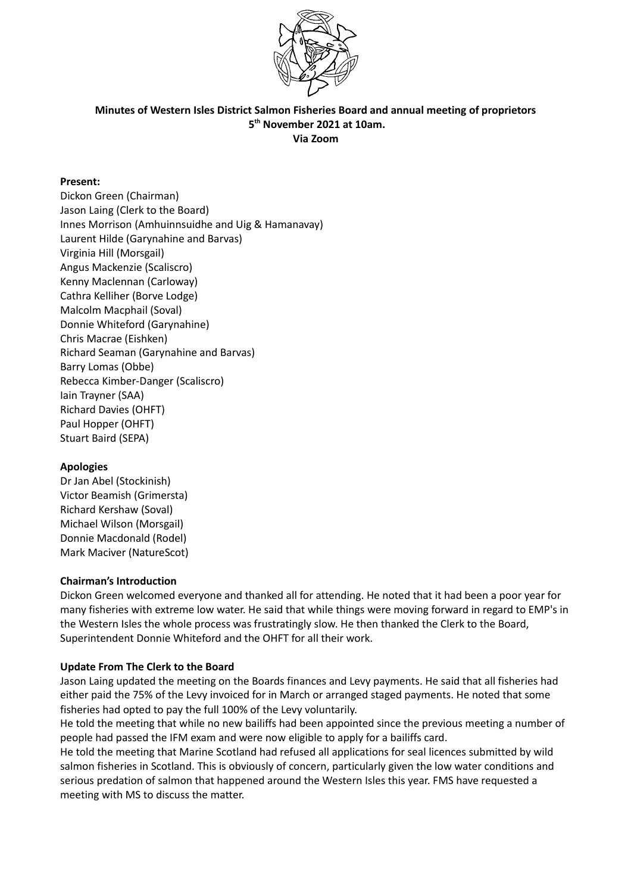

### **Minutes of Western Isles District Salmon Fisheries Board and annual meeting of proprietors 5th November 2021 at 10am. Via Zoom**

## **Present:**

Dickon Green (Chairman) Jason Laing (Clerk to the Board) Innes Morrison (Amhuinnsuidhe and Uig & Hamanavay) Laurent Hilde (Garynahine and Barvas) Virginia Hill (Morsgail) Angus Mackenzie (Scaliscro) Kenny Maclennan (Carloway) Cathra Kelliher (Borve Lodge) Malcolm Macphail (Soval) Donnie Whiteford (Garynahine) Chris Macrae (Eishken) Richard Seaman (Garynahine and Barvas) Barry Lomas (Obbe) Rebecca Kimber-Danger (Scaliscro) Iain Trayner (SAA) Richard Davies (OHFT) Paul Hopper (OHFT) Stuart Baird (SEPA)

### **Apologies**

Dr Jan Abel (Stockinish) Victor Beamish (Grimersta) Richard Kershaw (Soval) Michael Wilson (Morsgail) Donnie Macdonald (Rodel) Mark Maciver (NatureScot)

### **Chairman's Introduction**

Dickon Green welcomed everyone and thanked all for attending. He noted that it had been a poor year for many fisheries with extreme low water. He said that while things were moving forward in regard to EMP's in the Western Isles the whole process was frustratingly slow. He then thanked the Clerk to the Board, Superintendent Donnie Whiteford and the OHFT for all their work.

### **Update From The Clerk to the Board**

Jason Laing updated the meeting on the Boards finances and Levy payments. He said that all fisheries had either paid the 75% of the Levy invoiced for in March or arranged staged payments. He noted that some fisheries had opted to pay the full 100% of the Levy voluntarily.

He told the meeting that while no new bailiffs had been appointed since the previous meeting a number of people had passed the IFM exam and were now eligible to apply for a bailiffs card.

He told the meeting that Marine Scotland had refused all applications for seal licences submitted by wild salmon fisheries in Scotland. This is obviously of concern, particularly given the low water conditions and serious predation of salmon that happened around the Western Isles this year. FMS have requested a meeting with MS to discuss the matter.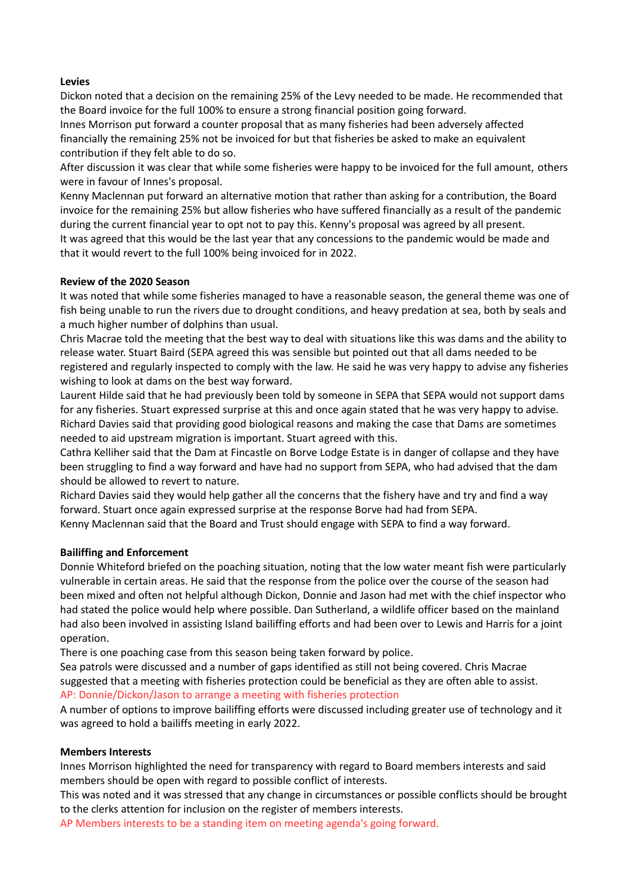# **Levies**

Dickon noted that a decision on the remaining 25% of the Levy needed to be made. He recommended that the Board invoice for the full 100% to ensure a strong financial position going forward.

Innes Morrison put forward a counter proposal that as many fisheries had been adversely affected financially the remaining 25% not be invoiced for but that fisheries be asked to make an equivalent contribution if they felt able to do so.

After discussion it was clear that while some fisheries were happy to be invoiced for the full amount, others were in favour of Innes's proposal.

Kenny Maclennan put forward an alternative motion that rather than asking for a contribution, the Board invoice for the remaining 25% but allow fisheries who have suffered financially as a result of the pandemic during the current financial year to opt not to pay this. Kenny's proposal was agreed by all present. It was agreed that this would be the last year that any concessions to the pandemic would be made and that it would revert to the full 100% being invoiced for in 2022.

### **Review of the 2020 Season**

It was noted that while some fisheries managed to have a reasonable season, the general theme was one of fish being unable to run the rivers due to drought conditions, and heavy predation at sea, both by seals and a much higher number of dolphins than usual.

Chris Macrae told the meeting that the best way to deal with situations like this was dams and the ability to release water. Stuart Baird (SEPA agreed this was sensible but pointed out that all dams needed to be registered and regularly inspected to comply with the law. He said he was very happy to advise any fisheries wishing to look at dams on the best way forward.

Laurent Hilde said that he had previously been told by someone in SEPA that SEPA would not support dams for any fisheries. Stuart expressed surprise at this and once again stated that he was very happy to advise. Richard Davies said that providing good biological reasons and making the case that Dams are sometimes needed to aid upstream migration is important. Stuart agreed with this.

Cathra Kelliher said that the Dam at Fincastle on Borve Lodge Estate is in danger of collapse and they have been struggling to find a way forward and have had no support from SEPA, who had advised that the dam should be allowed to revert to nature.

Richard Davies said they would help gather all the concerns that the fishery have and try and find a way forward. Stuart once again expressed surprise at the response Borve had had from SEPA. Kenny Maclennan said that the Board and Trust should engage with SEPA to find a way forward.

### **Bailiffing and Enforcement**

Donnie Whiteford briefed on the poaching situation, noting that the low water meant fish were particularly vulnerable in certain areas. He said that the response from the police over the course of the season had been mixed and often not helpful although Dickon, Donnie and Jason had met with the chief inspector who had stated the police would help where possible. Dan Sutherland, a wildlife officer based on the mainland had also been involved in assisting Island bailiffing efforts and had been over to Lewis and Harris for a joint operation.

There is one poaching case from this season being taken forward by police.

Sea patrols were discussed and a number of gaps identified as still not being covered. Chris Macrae suggested that a meeting with fisheries protection could be beneficial as they are often able to assist. AP: Donnie/Dickon/Jason to arrange a meeting with fisheries protection

A number of options to improve bailiffing efforts were discussed including greater use of technology and it was agreed to hold a bailiffs meeting in early 2022.

### **Members Interests**

Innes Morrison highlighted the need for transparency with regard to Board members interests and said members should be open with regard to possible conflict of interests.

This was noted and it was stressed that any change in circumstances or possible conflicts should be brought to the clerks attention for inclusion on the register of members interests.

AP Members interests to be a standing item on meeting agenda's going forward.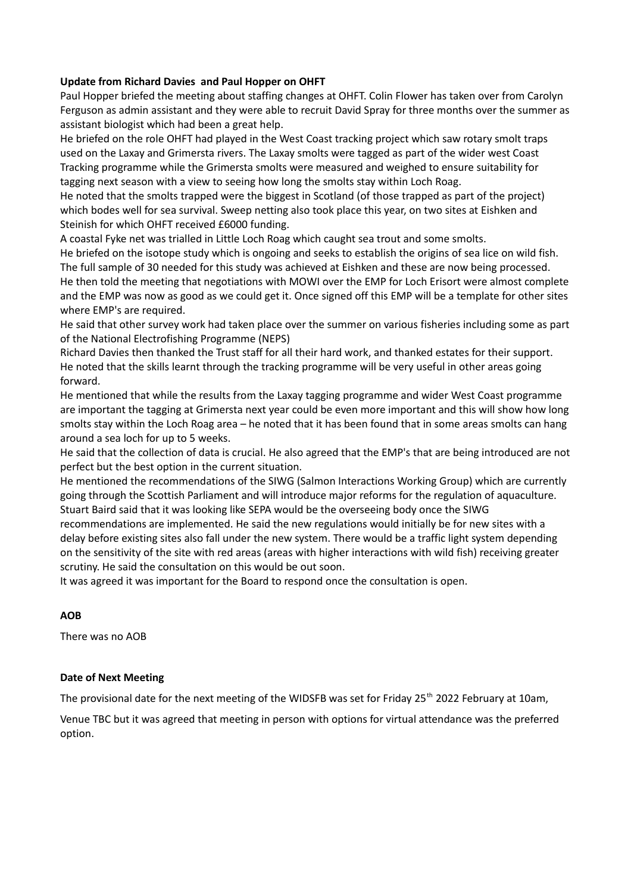# **Update from Richard Davies and Paul Hopper on OHFT**

Paul Hopper briefed the meeting about staffing changes at OHFT. Colin Flower has taken over from Carolyn Ferguson as admin assistant and they were able to recruit David Spray for three months over the summer as assistant biologist which had been a great help.

He briefed on the role OHFT had played in the West Coast tracking project which saw rotary smolt traps used on the Laxay and Grimersta rivers. The Laxay smolts were tagged as part of the wider west Coast Tracking programme while the Grimersta smolts were measured and weighed to ensure suitability for tagging next season with a view to seeing how long the smolts stay within Loch Roag.

He noted that the smolts trapped were the biggest in Scotland (of those trapped as part of the project) which bodes well for sea survival. Sweep netting also took place this year, on two sites at Eishken and Steinish for which OHFT received £6000 funding.

A coastal Fyke net was trialled in Little Loch Roag which caught sea trout and some smolts.

He briefed on the isotope study which is ongoing and seeks to establish the origins of sea lice on wild fish. The full sample of 30 needed for this study was achieved at Eishken and these are now being processed. He then told the meeting that negotiations with MOWI over the EMP for Loch Erisort were almost complete and the EMP was now as good as we could get it. Once signed off this EMP will be a template for other sites where EMP's are required.

He said that other survey work had taken place over the summer on various fisheries including some as part of the National Electrofishing Programme (NEPS)

Richard Davies then thanked the Trust staff for all their hard work, and thanked estates for their support. He noted that the skills learnt through the tracking programme will be very useful in other areas going forward.

He mentioned that while the results from the Laxay tagging programme and wider West Coast programme are important the tagging at Grimersta next year could be even more important and this will show how long smolts stay within the Loch Roag area – he noted that it has been found that in some areas smolts can hang around a sea loch for up to 5 weeks.

He said that the collection of data is crucial. He also agreed that the EMP's that are being introduced are not perfect but the best option in the current situation.

He mentioned the recommendations of the SIWG (Salmon Interactions Working Group) which are currently going through the Scottish Parliament and will introduce major reforms for the regulation of aquaculture. Stuart Baird said that it was looking like SEPA would be the overseeing body once the SIWG

recommendations are implemented. He said the new regulations would initially be for new sites with a delay before existing sites also fall under the new system. There would be a traffic light system depending on the sensitivity of the site with red areas (areas with higher interactions with wild fish) receiving greater scrutiny. He said the consultation on this would be out soon.

It was agreed it was important for the Board to respond once the consultation is open.

# **AOB**

There was no AOB

### **Date of Next Meeting**

The provisional date for the next meeting of the WIDSFB was set for Friday 25<sup>th</sup> 2022 February at 10am,

Venue TBC but it was agreed that meeting in person with options for virtual attendance was the preferred option.